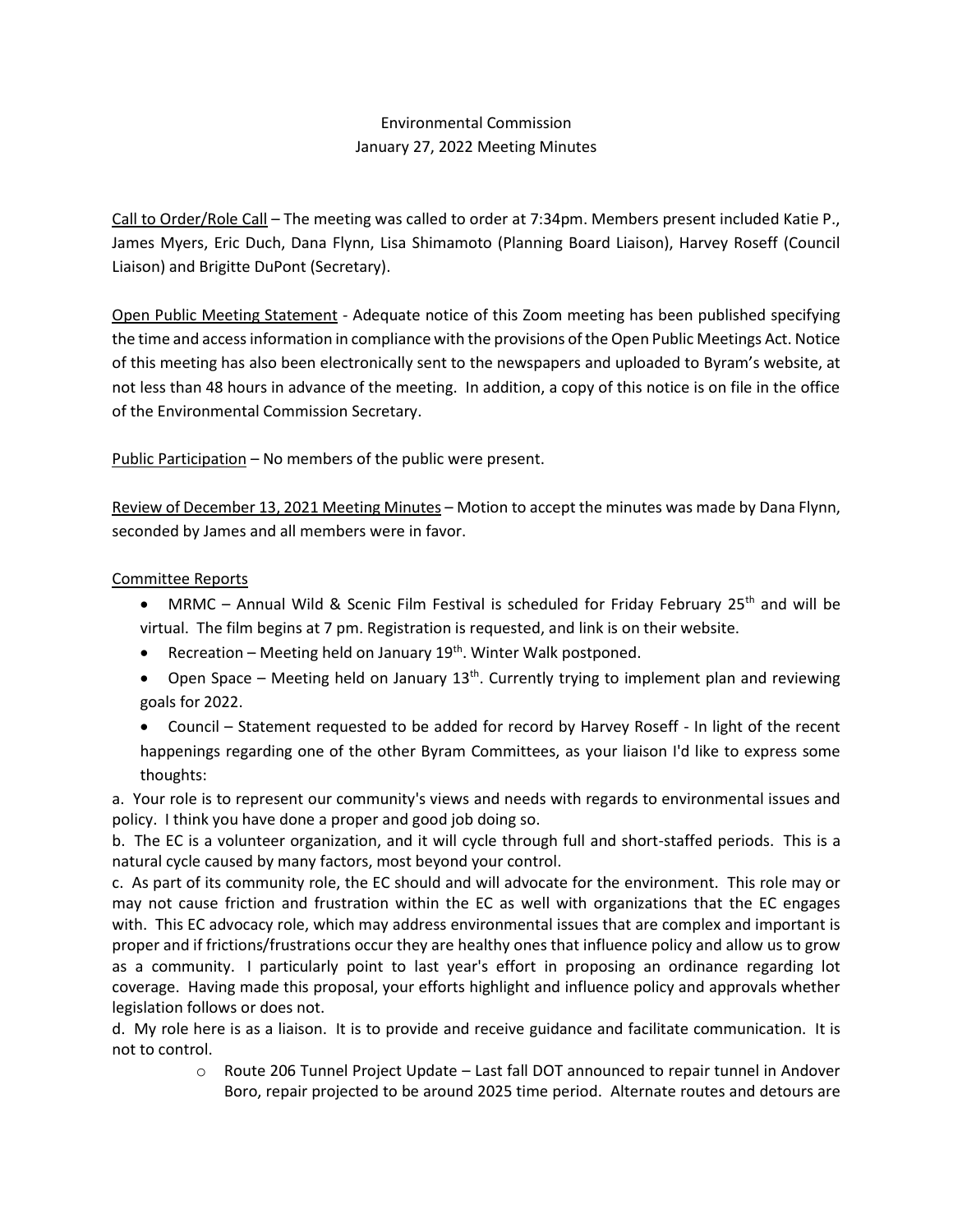# Environmental Commission January 27, 2022 Meeting Minutes

Call to Order/Role Call – The meeting was called to order at 7:34pm. Members present included Katie P., James Myers, Eric Duch, Dana Flynn, Lisa Shimamoto (Planning Board Liaison), Harvey Roseff (Council Liaison) and Brigitte DuPont (Secretary).

Open Public Meeting Statement - Adequate notice of this Zoom meeting has been published specifying the time and access information in compliance with the provisions of the Open Public Meetings Act. Notice of this meeting has also been electronically sent to the newspapers and uploaded to Byram's website, at not less than 48 hours in advance of the meeting. In addition, a copy of this notice is on file in the office of the Environmental Commission Secretary.

Public Participation – No members of the public were present.

Review of December 13, 2021 Meeting Minutes – Motion to accept the minutes was made by Dana Flynn, seconded by James and all members were in favor.

## Committee Reports

- MRMC Annual Wild & Scenic Film Festival is scheduled for Friday February 25<sup>th</sup> and will be virtual. The film begins at 7 pm. Registration is requested, and link is on their website.
- Recreation Meeting held on January 19<sup>th</sup>. Winter Walk postponed.
- Open Space Meeting held on January  $13<sup>th</sup>$ . Currently trying to implement plan and reviewing goals for 2022.
- Council Statement requested to be added for record by Harvey Roseff In light of the recent happenings regarding one of the other Byram Committees, as your liaison I'd like to express some thoughts:

a. Your role is to represent our community's views and needs with regards to environmental issues and policy. I think you have done a proper and good job doing so.

b. The EC is a volunteer organization, and it will cycle through full and short-staffed periods. This is a natural cycle caused by many factors, most beyond your control.

c. As part of its community role, the EC should and will advocate for the environment. This role may or may not cause friction and frustration within the EC as well with organizations that the EC engages with. This EC advocacy role, which may address environmental issues that are complex and important is proper and if frictions/frustrations occur they are healthy ones that influence policy and allow us to grow as a community. I particularly point to last year's effort in proposing an ordinance regarding lot coverage. Having made this proposal, your efforts highlight and influence policy and approvals whether legislation follows or does not.

d. My role here is as a liaison. It is to provide and receive guidance and facilitate communication. It is not to control.

 $\circ$  Route 206 Tunnel Project Update – Last fall DOT announced to repair tunnel in Andover Boro, repair projected to be around 2025 time period. Alternate routes and detours are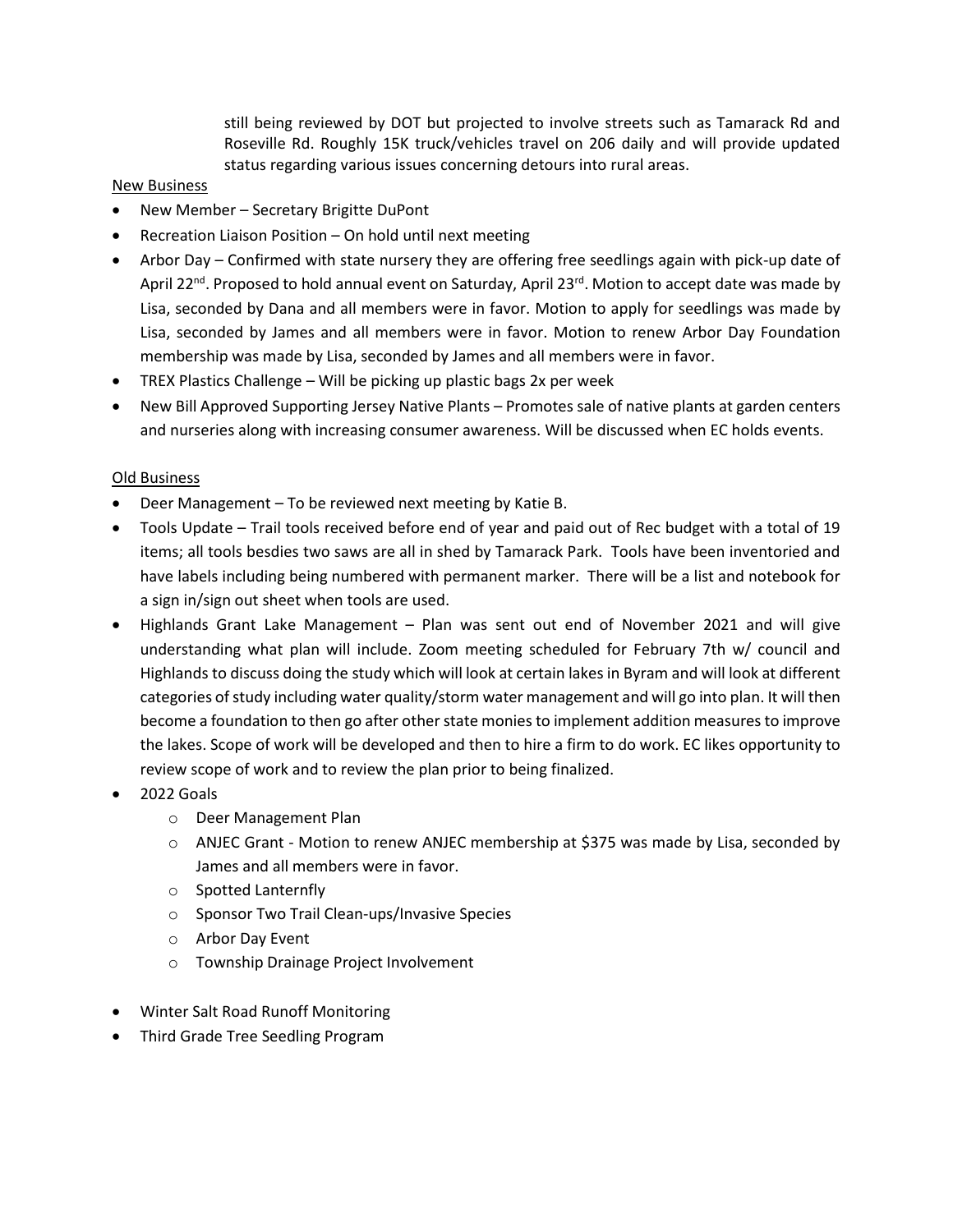still being reviewed by DOT but projected to involve streets such as Tamarack Rd and Roseville Rd. Roughly 15K truck/vehicles travel on 206 daily and will provide updated status regarding various issues concerning detours into rural areas.

#### New Business

- New Member Secretary Brigitte DuPont
- Recreation Liaison Position On hold until next meeting
- Arbor Day Confirmed with state nursery they are offering free seedlings again with pick-up date of April 22<sup>nd</sup>. Proposed to hold annual event on Saturday, April 23<sup>rd</sup>. Motion to accept date was made by Lisa, seconded by Dana and all members were in favor. Motion to apply for seedlings was made by Lisa, seconded by James and all members were in favor. Motion to renew Arbor Day Foundation membership was made by Lisa, seconded by James and all members were in favor.
- TREX Plastics Challenge Will be picking up plastic bags 2x per week
- New Bill Approved Supporting Jersey Native Plants Promotes sale of native plants at garden centers and nurseries along with increasing consumer awareness. Will be discussed when EC holds events.

### Old Business

- Deer Management To be reviewed next meeting by Katie B.
- Tools Update Trail tools received before end of year and paid out of Rec budget with a total of 19 items; all tools besdies two saws are all in shed by Tamarack Park. Tools have been inventoried and have labels including being numbered with permanent marker. There will be a list and notebook for a sign in/sign out sheet when tools are used.
- Highlands Grant Lake Management Plan was sent out end of November 2021 and will give understanding what plan will include. Zoom meeting scheduled for February 7th w/ council and Highlands to discuss doing the study which will look at certain lakes in Byram and will look at different categories of study including water quality/storm water management and will go into plan. It will then become a foundation to then go after other state monies to implement addition measures to improve the lakes. Scope of work will be developed and then to hire a firm to do work. EC likes opportunity to review scope of work and to review the plan prior to being finalized.
- 2022 Goals
	- o Deer Management Plan
	- o ANJEC Grant Motion to renew ANJEC membership at \$375 was made by Lisa, seconded by James and all members were in favor.
	- o Spotted Lanternfly
	- o Sponsor Two Trail Clean-ups/Invasive Species
	- o Arbor Day Event
	- o Township Drainage Project Involvement
- Winter Salt Road Runoff Monitoring
- Third Grade Tree Seedling Program